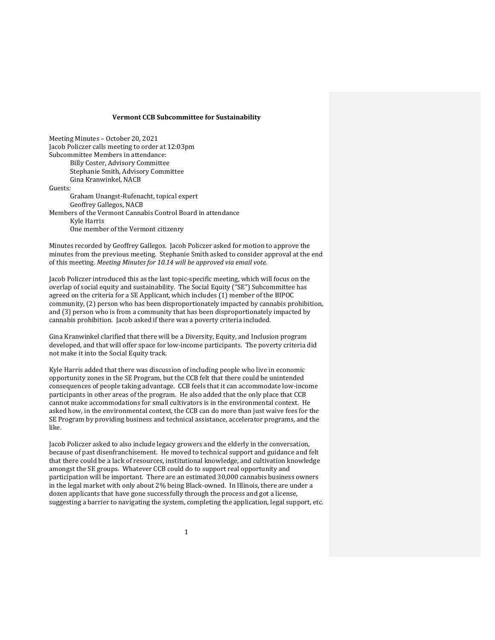Meeting Minutes - October 20, 2021 Jacob Policzer calls meeting to order at 12:03pm Subcommittee Members in attendance: Billy Coster, Advisory Committee Stephanie Smith, Advisory Committee Gina Kranwinkel, NACB Guests: Graham Unangst-Rufenacht, topical expert Geoffrey Gallegos, NACB Members of the Vermont Cannabis Control Board in attendance Kyle Harris One member of the Vermont citizenry

Minutes recorded by Geoffrey Gallegos. Jacob Policzer asked for motion to approve the minutes from the previous meeting. Stephanie Smith asked to consider approval at the end of this meeting. *Meeting Minutes for 10.14 will be approved via email vote.* 

Jacob Policzer introduced this as the last topic-specific meeting, which will focus on the overlap of social equity and sustainability. The Social Equity ("SE") Subcommittee has agreed on the criteria for a SE Applicant, which includes (1) member of the BIPOC community, (2) person who has been disproportionately impacted by cannabis prohibition, and  $(3)$  person who is from a community that has been disproportionately impacted by cannabis prohibition. Jacob asked if there was a poverty criteria included.

Gina Kranwinkel clarified that there will be a Diversity, Equity, and Inclusion program developed, and that will offer space for low-income participants. The poverty criteria did not make it into the Social Equity track.

Kyle Harris added that there was discussion of including people who live in economic opportunity zones in the SE Program, but the CCB felt that there could be unintended consequences of people taking advantage. CCB feels that it can accommodate low-income participants in other areas of the program. He also added that the only place that CCB cannot make accommodations for small cultivators is in the environmental context. He asked how, in the environmental context, the CCB can do more than just waive fees for the SE Program by providing business and technical assistance, accelerator programs, and the like.

Jacob Policzer asked to also include legacy growers and the elderly in the conversation, because of past disenfranchisement. He moved to technical support and guidance and felt that there could be a lack of resources, institutional knowledge, and cultivation knowledge amongst the SE groups. Whatever CCB could do to support real opportunity and participation will be important. There are an estimated 30,000 cannabis business owners in the legal market with only about 2% being Black-owned. In Illinois, there are under a dozen applicants that have gone successfully through the process and got a license, suggesting a barrier to navigating the system, completing the application, legal support, etc.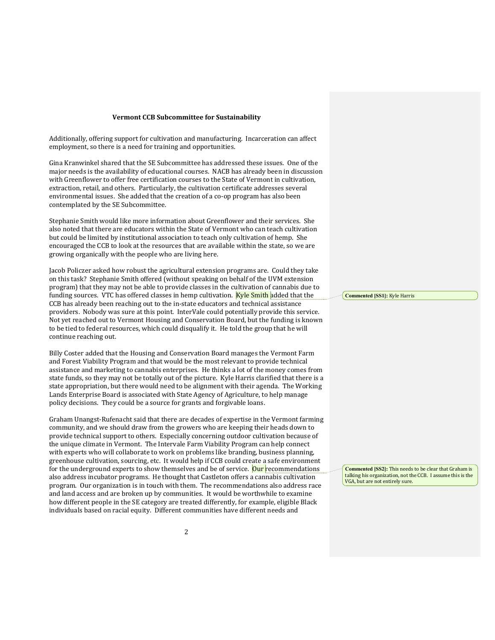Additionally, offering support for cultivation and manufacturing. Incarceration can affect employment, so there is a need for training and opportunities.

Gina Kranwinkel shared that the SE Subcommittee has addressed these issues. One of the major needs is the availability of educational courses. NACB has already been in discussion with Greenflower to offer free certification courses to the State of Vermont in cultivation, extraction, retail, and others. Particularly, the cultivation certificate addresses several environmental issues. She added that the creation of a co-op program has also been contemplated by the SE Subcommittee.

Stephanie Smith would like more information about Greenflower and their services. She also noted that there are educators within the State of Vermont who can teach cultivation but could be limited by institutional association to teach only cultivation of hemp. She encouraged the CCB to look at the resources that are available within the state, so we are growing organically with the people who are living here.

Jacob Policzer asked how robust the agricultural extension programs are. Could they take on this task? Stephanie Smith offered (without speaking on behalf of the UVM extension program) that they may not be able to provide classes in the cultivation of cannabis due to funding sources. VTC has offered classes in hemp cultivation. **Kyle Smith** added that the CCB has already been reaching out to the in-state educators and technical assistance providers. Nobody was sure at this point. InterVale could potentially provide this service. Not yet reached out to Vermont Housing and Conservation Board, but the funding is known to be tied to federal resources, which could disqualify it. He told the group that he will continue reaching out.

Billy Coster added that the Housing and Conservation Board manages the Vermont Farm and Forest Viability Program and that would be the most relevant to provide technical assistance and marketing to cannabis enterprises. He thinks a lot of the money comes from state funds, so they may not be totally out of the picture. Kyle Harris clarified that there is a state appropriation, but there would need to be alignment with their agenda. The Working Lands Enterprise Board is associated with State Agency of Agriculture, to help manage policy decisions. They could be a source for grants and forgivable loans.

Graham Unangst-Rufenacht said that there are decades of expertise in the Vermont farming community, and we should draw from the growers who are keeping their heads down to provide technical support to others. Especially concerning outdoor cultivation because of the unique climate in Vermont. The Intervale Farm Viability Program can help connect with experts who will collaborate to work on problems like branding, business planning, greenhouse cultivation, sourcing, etc. It would help if CCB could create a safe environment for the underground experts to show themselves and be of service. Our recommendations also address incubator programs. He thought that Castleton offers a cannabis cultivation program. Our organization is in touch with them. The recommendations also address race and land access and are broken up by communities. It would be worthwhile to examine how different people in the SE category are treated differently, for example, eligible Black individuals based on racial equity. Different communities have different needs and

**Commented [SS1]:** Kyle Harris

**Commented [SS2]:** This needs to be clear that Graham is talking his organization, not the CCB. I assume this is the VGA, but are not entirely sure.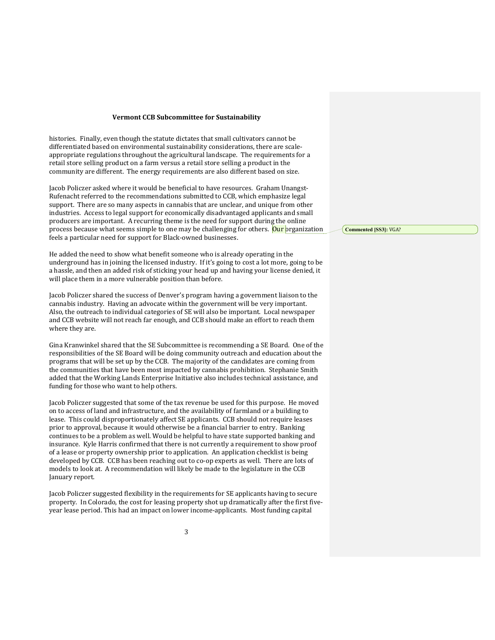histories. Finally, even though the statute dictates that small cultivators cannot be differentiated based on environmental sustainability considerations, there are scaleappropriate regulations throughout the agricultural landscape. The requirements for a retail store selling product on a farm versus a retail store selling a product in the community are different. The energy requirements are also different based on size.

Jacob Policzer asked where it would be beneficial to have resources. Graham Unangst-Rufenacht referred to the recommendations submitted to CCB, which emphasize legal support. There are so many aspects in cannabis that are unclear, and unique from other industries. Access to legal support for economically disadvantaged applicants and small producers are important. A recurring theme is the need for support during the online process because what seems simple to one may be challenging for others. Our organization feels a particular need for support for Black-owned businesses.

He added the need to show what benefit someone who is already operating in the underground has in joining the licensed industry. If it's going to cost a lot more, going to be a hassle, and then an added risk of sticking your head up and having your license denied, it will place them in a more vulnerable position than before.

Jacob Policzer shared the success of Denver's program having a government liaison to the cannabis industry. Having an advocate within the government will be very important. Also, the outreach to individual categories of SE will also be important. Local newspaper and CCB website will not reach far enough, and CCB should make an effort to reach them where they are.

Gina Kranwinkel shared that the SE Subcommittee is recommending a SE Board. One of the responsibilities of the SE Board will be doing community outreach and education about the programs that will be set up by the CCB. The majority of the candidates are coming from the communities that have been most impacted by cannabis prohibition. Stephanie Smith added that the Working Lands Enterprise Initiative also includes technical assistance, and funding for those who want to help others.

Jacob Policzer suggested that some of the tax revenue be used for this purpose. He moved on to access of land and infrastructure, and the availability of farmland or a building to lease. This could disproportionately affect SE applicants. CCB should not require leases prior to approval, because it would otherwise be a financial barrier to entry. Banking continues to be a problem as well. Would be helpful to have state supported banking and insurance. Kyle Harris confirmed that there is not currently a requirement to show proof of a lease or property ownership prior to application. An application checklist is being developed by CCB. CCB has been reaching out to co-op experts as well. There are lots of models to look at. A recommendation will likely be made to the legislature in the CCB January report.

Jacob Policzer suggested flexibility in the requirements for SE applicants having to secure property. In Colorado, the cost for leasing property shot up dramatically after the first fiveyear lease period. This had an impact on lower income-applicants. Most funding capital

**Commented [SS3]:** VGA?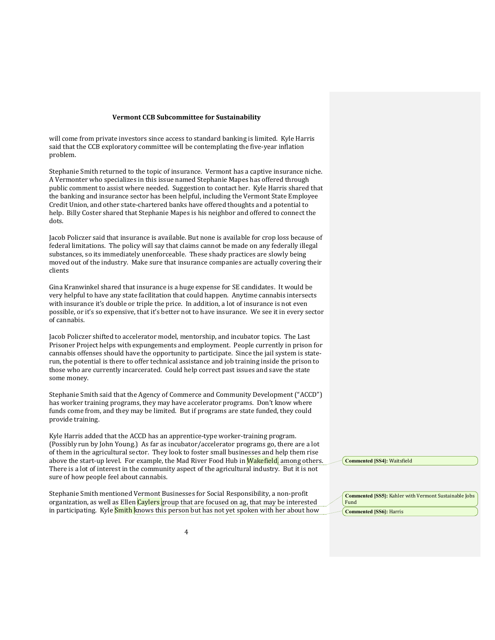will come from private investors since access to standard banking is limited. Kyle Harris said that the CCB exploratory committee will be contemplating the five-year inflation problem.

Stephanie Smith returned to the topic of insurance. Vermont has a captive insurance niche. A Vermonter who specializes in this issue named Stephanie Mapes has offered through public comment to assist where needed. Suggestion to contact her. Kyle Harris shared that the banking and insurance sector has been helpful, including the Vermont State Employee Credit Union, and other state-chartered banks have offered thoughts and a potential to help. Billy Coster shared that Stephanie Mapes is his neighbor and offered to connect the dots.

Jacob Policzer said that insurance is available. But none is available for crop loss because of federal limitations. The policy will say that claims cannot be made on any federally illegal substances, so its immediately unenforceable. These shady practices are slowly being moved out of the industry. Make sure that insurance companies are actually covering their clients

Gina Kranwinkel shared that insurance is a huge expense for SE candidates. It would be very helpful to have any state facilitation that could happen. Anytime cannabis intersects with insurance it's double or triple the price. In addition, a lot of insurance is not even possible, or it's so expensive, that it's better not to have insurance. We see it in every sector of cannabis.

Jacob Policzer shifted to accelerator model, mentorship, and incubator topics. The Last Prisoner Project helps with expungements and employment. People currently in prison for cannabis offenses should have the opportunity to participate. Since the jail system is staterun, the potential is there to offer technical assistance and job training inside the prison to those who are currently incarcerated. Could help correct past issues and save the state some money.

Stephanie Smith said that the Agency of Commerce and Community Development ("ACCD") has worker training programs, they may have accelerator programs. Don't know where funds come from, and they may be limited. But if programs are state funded, they could provide training.

Kyle Harris added that the ACCD has an apprentice-type worker-training program. (Possibly run by John Young.) As far as incubator/accelerator programs go, there are a lot of them in the agricultural sector. They look to foster small businesses and help them rise above the start-up level. For example, the Mad River Food Hub in Wakefield, among others. There is a lot of interest in the community aspect of the agricultural industry. But it is not sure of how people feel about cannabis.

Stephanie Smith mentioned Vermont Businesses for Social Responsibility, a non-profit organization, as well as Ellen Caylers group that are focused on ag, that may be interested in participating. Kyle **Smith** knows this person but has not yet spoken with her about how **Commented [SS4]:** Waitsfield

**Commented [SS5]:** Kahler with Vermont Sustainable Jobs Fund

**Commented [SS6]:** Harris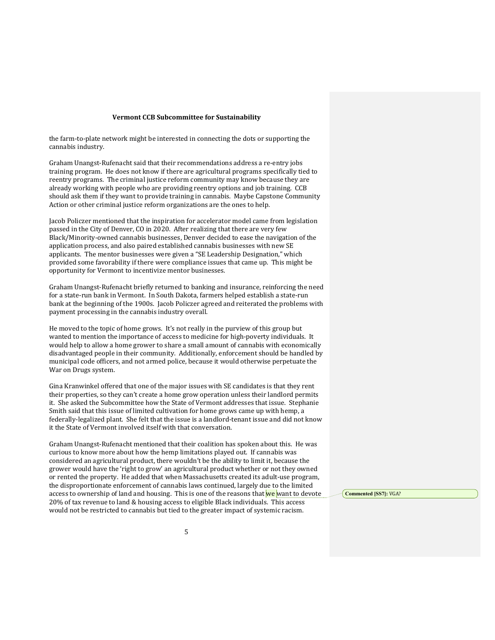the farm-to-plate network might be interested in connecting the dots or supporting the cannabis industry.

Graham Unangst-Rufenacht said that their recommendations address a re-entry jobs training program. He does not know if there are agricultural programs specifically tied to reentry programs. The criminal justice reform community may know because they are already working with people who are providing reentry options and job training. CCB should ask them if they want to provide training in cannabis. Maybe Capstone Community Action or other criminal justice reform organizations are the ones to help.

Jacob Policzer mentioned that the inspiration for accelerator model came from legislation passed in the City of Denver, CO in 2020. After realizing that there are very few Black/Minority-owned cannabis businesses, Denver decided to ease the navigation of the application process, and also paired established cannabis businesses with new SE applicants. The mentor businesses were given a "SE Leadership Designation," which provided some favorability if there were compliance issues that came up. This might be opportunity for Vermont to incentivize mentor businesses.

Graham Unangst-Rufenacht briefly returned to banking and insurance, reinforcing the need for a state-run bank in Vermont. In South Dakota, farmers helped establish a state-run bank at the beginning of the 1900s. Jacob Policzer agreed and reiterated the problems with payment processing in the cannabis industry overall.

He moved to the topic of home grows. It's not really in the purview of this group but wanted to mention the importance of access to medicine for high-poverty individuals. It would help to allow a home grower to share a small amount of cannabis with economically disadvantaged people in their community. Additionally, enforcement should be handled by municipal code officers, and not armed police, because it would otherwise perpetuate the War on Drugs system.

Gina Kranwinkel offered that one of the major issues with SE candidates is that they rent their properties, so they can't create a home grow operation unless their landlord permits it. She asked the Subcommittee how the State of Vermont addresses that issue. Stephanie Smith said that this issue of limited cultivation for home grows came up with hemp, a federally-legalized plant. She felt that the issue is a landlord-tenant issue and did not know it the State of Vermont involved itself with that conversation.

Graham Unangst-Rufenacht mentioned that their coalition has spoken about this. He was curious to know more about how the hemp limitations played out. If cannabis was considered an agricultural product, there wouldn't be the ability to limit it, because the grower would have the 'right to grow' an agricultural product whether or not they owned or rented the property. He added that when Massachusetts created its adult-use program, the disproportionate enforcement of cannabis laws continued, largely due to the limited access to ownership of land and housing. This is one of the reasons that we want to devote 20% of tax revenue to land & housing access to eligible Black individuals. This access would not be restricted to cannabis but tied to the greater impact of systemic racism.

**Commented [SS7]:** VGA?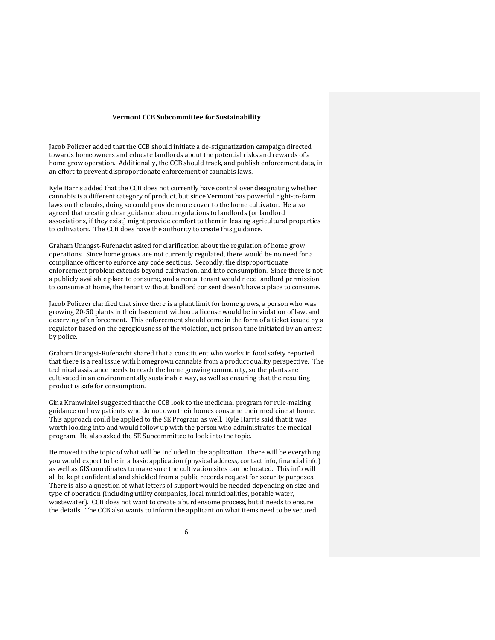Jacob Policzer added that the CCB should initiate a de-stigmatization campaign directed towards homeowners and educate landlords about the potential risks and rewards of a home grow operation. Additionally, the CCB should track, and publish enforcement data, in an effort to prevent disproportionate enforcement of cannabis laws.

Kyle Harris added that the CCB does not currently have control over designating whether cannabis is a different category of product, but since Vermont has powerful right-to-farm laws on the books, doing so could provide more cover to the home cultivator. He also agreed that creating clear guidance about regulations to landlords (or landlord associations, if they exist) might provide comfort to them in leasing agricultural properties to cultivators. The CCB does have the authority to create this guidance.

Graham Unangst-Rufenacht asked for clarification about the regulation of home grow operations. Since home grows are not currently regulated, there would be no need for a compliance officer to enforce any code sections. Secondly, the disproportionate enforcement problem extends beyond cultivation, and into consumption. Since there is not a publicly available place to consume, and a rental tenant would need landlord permission to consume at home, the tenant without landlord consent doesn't have a place to consume.

Jacob Policzer clarified that since there is a plant limit for home grows, a person who was growing 20-50 plants in their basement without a license would be in violation of law, and deserving of enforcement. This enforcement should come in the form of a ticket issued by a regulator based on the egregiousness of the violation, not prison time initiated by an arrest by police.

Graham Unangst-Rufenacht shared that a constituent who works in food safety reported that there is a real issue with homegrown cannabis from a product quality perspective. The technical assistance needs to reach the home growing community, so the plants are cultivated in an environmentally sustainable way, as well as ensuring that the resulting product is safe for consumption.

Gina Kranwinkel suggested that the CCB look to the medicinal program for rule-making guidance on how patients who do not own their homes consume their medicine at home. This approach could be applied to the SE Program as well. Kyle Harris said that it was worth looking into and would follow up with the person who administrates the medical program. He also asked the SE Subcommittee to look into the topic.

He moved to the topic of what will be included in the application. There will be everything you would expect to be in a basic application (physical address, contact info, financial info) as well as GIS coordinates to make sure the cultivation sites can be located. This info will all be kept confidential and shielded from a public records request for security purposes. There is also a question of what letters of support would be needed depending on size and type of operation (including utility companies, local municipalities, potable water, wastewater). CCB does not want to create a burdensome process, but it needs to ensure the details. The CCB also wants to inform the applicant on what items need to be secured